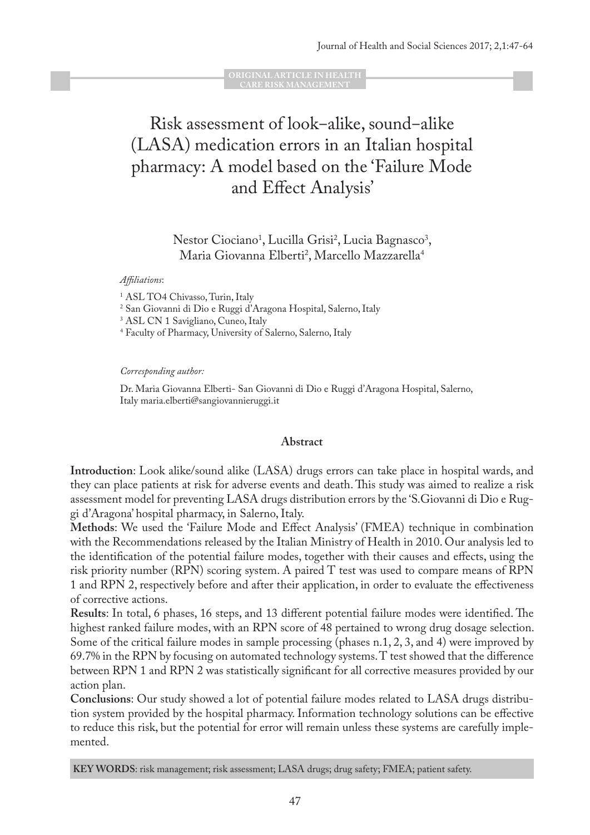**ORIGINAL ARTICLE IN HEALTH CARE RISK MANAGEMENT**

# Risk assessment of look–alike, sound–alike (LASA) medication errors in an Italian hospital pharmacy: A model based on the 'Failure Mode and Effect Analysis'

Nestor Ciociano<sup>1</sup>, Lucilla Grisi<sup>2</sup>, Lucia Bagnasco<sup>3</sup>, Maria Giovanna Elberti<sup>2</sup>, Marcello Mazzarella<sup>4</sup>

#### *Affiliations*:

1 ASL TO4 Chivasso, Turin, Italy

2 San Giovanni di Dio e Ruggi d'Aragona Hospital, Salerno, Italy

3 ASL CN 1 Savigliano, Cuneo, Italy

4 Faculty of Pharmacy, University of Salerno, Salerno, Italy

#### *Corresponding author:*

Dr. Maria Giovanna Elberti- San Giovanni di Dio e Ruggi d'Aragona Hospital, Salerno, Italy maria.elberti@sangiovannieruggi.it

#### **Abstract**

**Introduction**: Look alike/sound alike (LASA) drugs errors can take place in hospital wards, and they can place patients at risk for adverse events and death. This study was aimed to realize a risk assessment model for preventing LASA drugs distribution errors by the 'S.Giovanni di Dio e Ruggi d'Aragona' hospital pharmacy, in Salerno, Italy.

**Methods**: We used the 'Failure Mode and Effect Analysis' (FMEA) technique in combination with the Recommendations released by the Italian Ministry of Health in 2010. Our analysis led to the identification of the potential failure modes, together with their causes and effects, using the risk priority number (RPN) scoring system. A paired T test was used to compare means of RPN 1 and RPN 2, respectively before and after their application, in order to evaluate the effectiveness of corrective actions.

**Results**: In total, 6 phases, 16 steps, and 13 different potential failure modes were identified. The highest ranked failure modes, with an RPN score of 48 pertained to wrong drug dosage selection. Some of the critical failure modes in sample processing (phases n.1, 2, 3, and 4) were improved by 69.7% in the RPN by focusing on automated technology systems. T test showed that the difference between RPN 1 and RPN 2 was statistically significant for all corrective measures provided by our action plan.

**Conclusions**: Our study showed a lot of potential failure modes related to LASA drugs distribution system provided by the hospital pharmacy. Information technology solutions can be effective to reduce this risk, but the potential for error will remain unless these systems are carefully implemented.

**KEY WORDS**: risk management; risk assessment; LASA drugs; drug safety; FMEA; patient safety.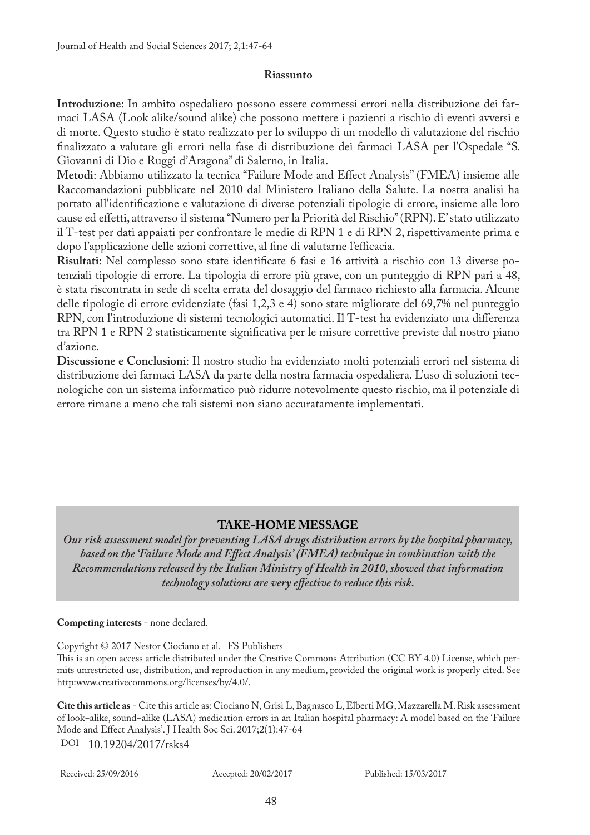## **Riassunto**

**Introduzione**: In ambito ospedaliero possono essere commessi errori nella distribuzione dei farmaci LASA (Look alike/sound alike) che possono mettere i pazienti a rischio di eventi avversi e di morte. Questo studio è stato realizzato per lo sviluppo di un modello di valutazione del rischio finalizzato a valutare gli errori nella fase di distribuzione dei farmaci LASA per l'Ospedale "S. Giovanni di Dio e Ruggi d'Aragona" di Salerno, in Italia.

**Metodi**: Abbiamo utilizzato la tecnica "Failure Mode and Effect Analysis" (FMEA) insieme alle Raccomandazioni pubblicate nel 2010 dal Ministero Italiano della Salute. La nostra analisi ha portato all'identificazione e valutazione di diverse potenziali tipologie di errore, insieme alle loro cause ed effetti, attraverso il sistema "Numero per la Priorità del Rischio" (RPN). E' stato utilizzato il T-test per dati appaiati per confrontare le medie di RPN 1 e di RPN 2, rispettivamente prima e dopo l'applicazione delle azioni correttive, al fine di valutarne l'efficacia.

**Risultati**: Nel complesso sono state identificate 6 fasi e 16 attività a rischio con 13 diverse potenziali tipologie di errore. La tipologia di errore più grave, con un punteggio di RPN pari a 48, è stata riscontrata in sede di scelta errata del dosaggio del farmaco richiesto alla farmacia. Alcune delle tipologie di errore evidenziate (fasi 1,2,3 e 4) sono state migliorate del 69,7% nel punteggio RPN, con l'introduzione di sistemi tecnologici automatici. Il T-test ha evidenziato una differenza tra RPN 1 e RPN 2 statisticamente significativa per le misure correttive previste dal nostro piano d'azione.

**Discussione e Conclusioni**: Il nostro studio ha evidenziato molti potenziali errori nel sistema di distribuzione dei farmaci LASA da parte della nostra farmacia ospedaliera. L'uso di soluzioni tecnologiche con un sistema informatico può ridurre notevolmente questo rischio, ma il potenziale di errore rimane a meno che tali sistemi non siano accuratamente implementati.

# **TAKE-HOME MESSAGE**

*Our risk assessment model for preventing LASA drugs distribution errors by the hospital pharmacy, based on the 'Failure Mode and Effect Analysis' (FMEA) technique in combination with the Recommendations released by the Italian Ministry of Health in 2010, showed that information technology solutions are very effective to reduce this risk.* 

#### **Competing interests** - none declared.

Copyright © 2017 Nestor Ciociano et al. FS Publishers

This is an open access article distributed under the Creative Commons Attribution (CC BY 4.0) License, which permits unrestricted use, distribution, and reproduction in any medium, provided the original work is properly cited. See http:www.creativecommons.org/licenses/by/4.0/.

**Cite this article as** - Cite this article as: Ciociano N, Grisi L, Bagnasco L, Elberti MG, Mazzarella M. Risk assessment of look−alike, sound−alike (LASA) medication errors in an Italian hospital pharmacy: A model based on the 'Failure Mode and Effect Analysis'. J Health Soc Sci. 2017;2(1):47-64 DOI 10.19204/2017/rsks4

Received: 25/09/2016 Accepted: 20/02/2017 Published: 15/03/2017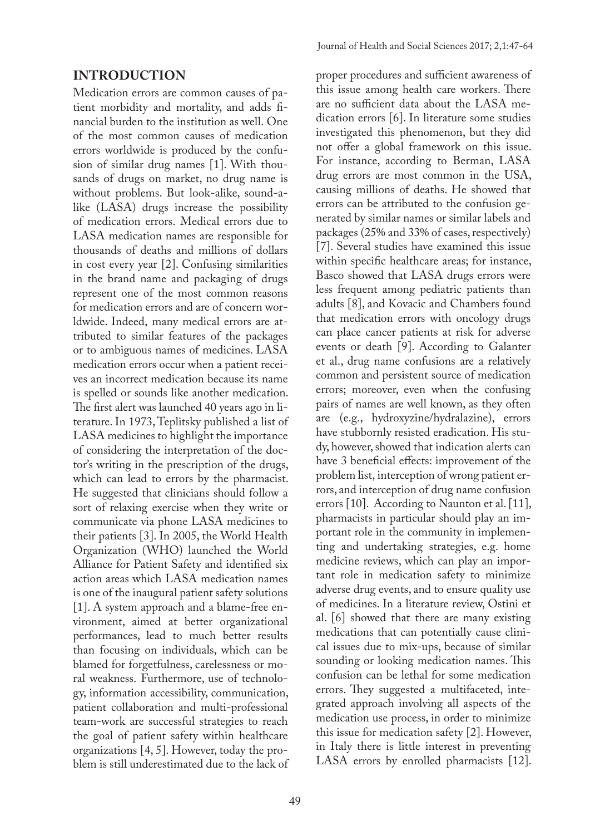## **INTRODUCTION**

Medication errors are common causes of patient morbidity and mortality, and adds financial burden to the institution as well. One of the most common causes of medication errors worldwide is produced by the confusion of similar drug names [1]. With thousands of drugs on market, no drug name is without problems. But look-alike, sound-alike (LASA) drugs increase the possibility of medication errors. Medical errors due to LASA medication names are responsible for thousands of deaths and millions of dollars in cost every year [2]. Confusing similarities in the brand name and packaging of drugs represent one of the most common reasons for medication errors and are of concern worldwide. Indeed, many medical errors are attributed to similar features of the packages or to ambiguous names of medicines. LASA medication errors occur when a patient receives an incorrect medication because its name is spelled or sounds like another medication. The first alert was launched 40 years ago in literature. In 1973, Teplitsky published a list of LASA medicines to highlight the importance of considering the interpretation of the doctor's writing in the prescription of the drugs, which can lead to errors by the pharmacist. He suggested that clinicians should follow a sort of relaxing exercise when they write or communicate via phone LASA medicines to their patients [3]. In 2005, the World Health Organization (WHO) launched the World Alliance for Patient Safety and identified six action areas which LASA medication names is one of the inaugural patient safety solutions [1]. A system approach and a blame-free environment, aimed at better organizational performances, lead to much better results than focusing on individuals, which can be blamed for forgetfulness, carelessness or moral weakness. Furthermore, use of technology, information accessibility, communication, patient collaboration and multi-professional team-work are successful strategies to reach the goal of patient safety within healthcare organizations [4, 5]. However, today the problem is still underestimated due to the lack of proper procedures and sufficient awareness of this issue among health care workers. There are no sufficient data about the LASA medication errors [6]. In literature some studies investigated this phenomenon, but they did not offer a global framework on this issue. For instance, according to Berman, LASA drug errors are most common in the USA, causing millions of deaths. He showed that errors can be attributed to the confusion generated by similar names or similar labels and packages (25% and 33% of cases, respectively) [7]. Several studies have examined this issue within specific healthcare areas; for instance, Basco showed that LASA drugs errors were less frequent among pediatric patients than adults [8], and Kovacic and Chambers found that medication errors with oncology drugs can place cancer patients at risk for adverse events or death [9]. According to Galanter et al., drug name confusions are a relatively common and persistent source of medication errors; moreover, even when the confusing pairs of names are well known, as they often are (e.g., hydroxyzine/hydralazine), errors have stubbornly resisted eradication. His study, however, showed that indication alerts can have 3 beneficial effects: improvement of the problem list, interception of wrong patient errors, and interception of drug name confusion errors [10]. According to Naunton et al. [11], pharmacists in particular should play an important role in the community in implementing and undertaking strategies, e.g. home medicine reviews, which can play an important role in medication safety to minimize adverse drug events, and to ensure quality use of medicines. In a literature review, Ostini et al. [6] showed that there are many existing medications that can potentially cause clinical issues due to mix-ups, because of similar sounding or looking medication names. This confusion can be lethal for some medication errors. They suggested a multifaceted, integrated approach involving all aspects of the medication use process, in order to minimize this issue for medication safety [2]. However, in Italy there is little interest in preventing LASA errors by enrolled pharmacists [12].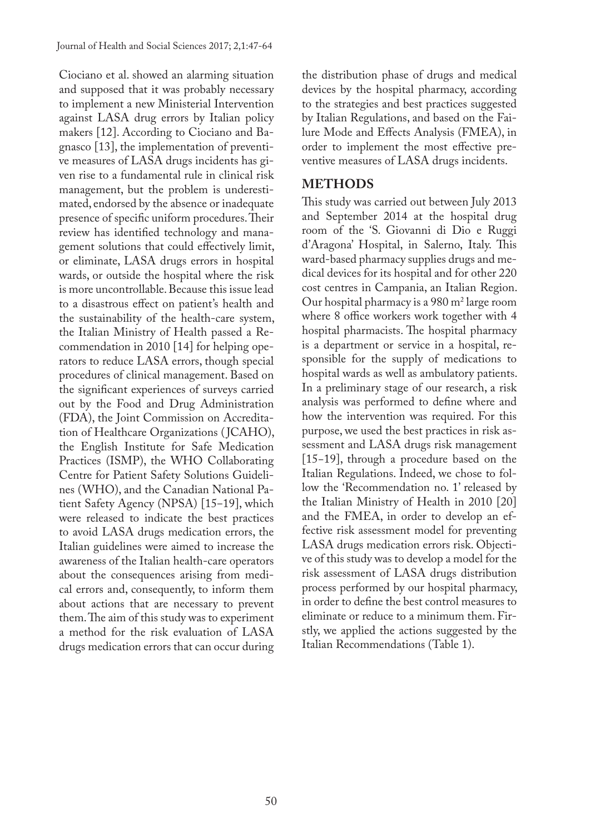Ciociano et al. showed an alarming situation and supposed that it was probably necessary to implement a new Ministerial Intervention against LASA drug errors by Italian policy makers [12]. According to Ciociano and Bagnasco [13], the implementation of preventive measures of LASA drugs incidents has given rise to a fundamental rule in clinical risk management, but the problem is underestimated, endorsed by the absence or inadequate presence of specific uniform procedures. Their review has identified technology and management solutions that could effectively limit, or eliminate, LASA drugs errors in hospital wards, or outside the hospital where the risk is more uncontrollable. Because this issue lead to a disastrous effect on patient's health and the sustainability of the health-care system, the Italian Ministry of Health passed a Recommendation in 2010 [14] for helping operators to reduce LASA errors, though special procedures of clinical management. Based on the significant experiences of surveys carried out by the Food and Drug Administration (FDA), the Joint Commission on Accreditation of Healthcare Organizations ( JCAHO), the English Institute for Safe Medication Practices (ISMP), the WHO Collaborating Centre for Patient Safety Solutions Guidelines (WHO), and the Canadian National Patient Safety Agency (NPSA) [15–19], which were released to indicate the best practices to avoid LASA drugs medication errors, the Italian guidelines were aimed to increase the awareness of the Italian health-care operators about the consequences arising from medical errors and, consequently, to inform them about actions that are necessary to prevent them. The aim of this study was to experiment a method for the risk evaluation of LASA drugs medication errors that can occur during

the distribution phase of drugs and medical devices by the hospital pharmacy, according to the strategies and best practices suggested by Italian Regulations, and based on the Failure Mode and Effects Analysis (FMEA), in order to implement the most effective preventive measures of LASA drugs incidents.

## **METHODS**

This study was carried out between July 2013 and September 2014 at the hospital drug room of the 'S. Giovanni di Dio e Ruggi d'Aragona' Hospital, in Salerno, Italy. This ward-based pharmacy supplies drugs and medical devices for its hospital and for other 220 cost centres in Campania, an Italian Region. Our hospital pharmacy is a 980 m2 large room where 8 office workers work together with 4 hospital pharmacists. The hospital pharmacy is a department or service in a hospital, responsible for the supply of medications to hospital wards as well as ambulatory patients. In a preliminary stage of our research, a risk analysis was performed to define where and how the intervention was required. For this purpose, we used the best practices in risk assessment and LASA drugs risk management [15−19], through a procedure based on the Italian Regulations. Indeed, we chose to follow the 'Recommendation no. 1' released by the Italian Ministry of Health in 2010 [20] and the FMEA, in order to develop an effective risk assessment model for preventing LASA drugs medication errors risk. Objective of this study was to develop a model for the risk assessment of LASA drugs distribution process performed by our hospital pharmacy, in order to define the best control measures to eliminate or reduce to a minimum them. Firstly, we applied the actions suggested by the Italian Recommendations (Table 1).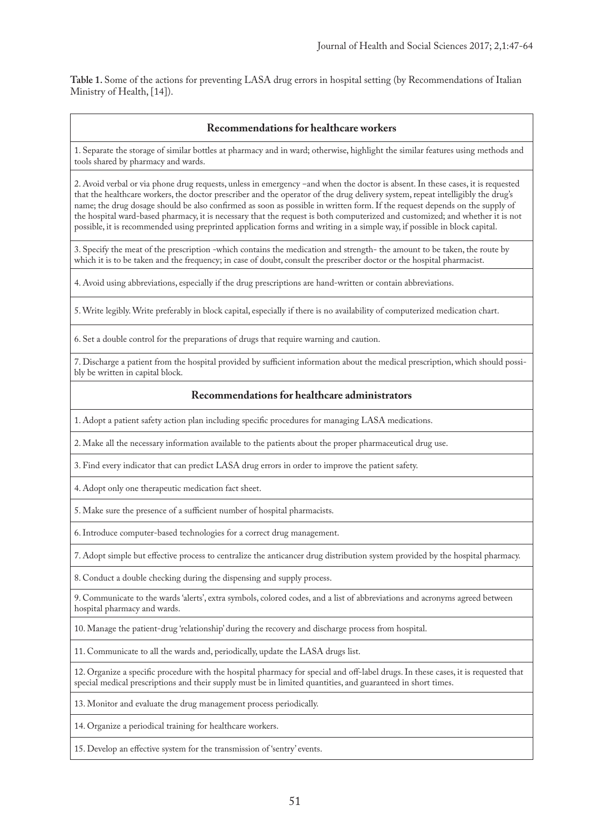**Table 1.** Some of the actions for preventing LASA drug errors in hospital setting (by Recommendations of Italian Ministry of Health, [14]).

#### **Recommendations for healthcare workers**

1. Separate the storage of similar bottles at pharmacy and in ward; otherwise, highlight the similar features using methods and tools shared by pharmacy and wards.

2. Avoid verbal or via phone drug requests, unless in emergency -and when the doctor is absent. In these cases, it is requested that the healthcare workers, the doctor prescriber and the operator of the drug delivery system, repeat intelligibly the drug's name; the drug dosage should be also confirmed as soon as possible in written form. If the request depends on the supply of the hospital ward-based pharmacy, it is necessary that the request is both computerized and customized; and whether it is not possible, it is recommended using preprinted application forms and writing in a simple way, if possible in block capital.

3. Specify the meat of the prescription -which contains the medication and strength- the amount to be taken, the route by which it is to be taken and the frequency; in case of doubt, consult the prescriber doctor or the hospital pharmacist.

4. Avoid using abbreviations, especially if the drug prescriptions are hand-written or contain abbreviations.

5. Write legibly. Write preferably in block capital, especially if there is no availability of computerized medication chart.

6. Set a double control for the preparations of drugs that require warning and caution.

7. Discharge a patient from the hospital provided by sufficient information about the medical prescription, which should possibly be written in capital block.

#### **Recommendations for healthcare administrators**

1. Adopt a patient safety action plan including specific procedures for managing LASA medications.

2. Make all the necessary information available to the patients about the proper pharmaceutical drug use.

3. Find every indicator that can predict LASA drug errors in order to improve the patient safety.

4. Adopt only one therapeutic medication fact sheet.

5. Make sure the presence of a sufficient number of hospital pharmacists.

6. Introduce computer-based technologies for a correct drug management.

7. Adopt simple but effective process to centralize the anticancer drug distribution system provided by the hospital pharmacy.

8. Conduct a double checking during the dispensing and supply process.

9. Communicate to the wards 'alerts', extra symbols, colored codes, and a list of abbreviations and acronyms agreed between hospital pharmacy and wards.

10. Manage the patient-drug 'relationship' during the recovery and discharge process from hospital.

11. Communicate to all the wards and, periodically, update the LASA drugs list.

12. Organize a specific procedure with the hospital pharmacy for special and off-label drugs. In these cases, it is requested that special medical prescriptions and their supply must be in limited quantities, and guaranteed in short times.

13. Monitor and evaluate the drug management process periodically.

14. Organize a periodical training for healthcare workers.

15. Develop an effective system for the transmission of 'sentry' events.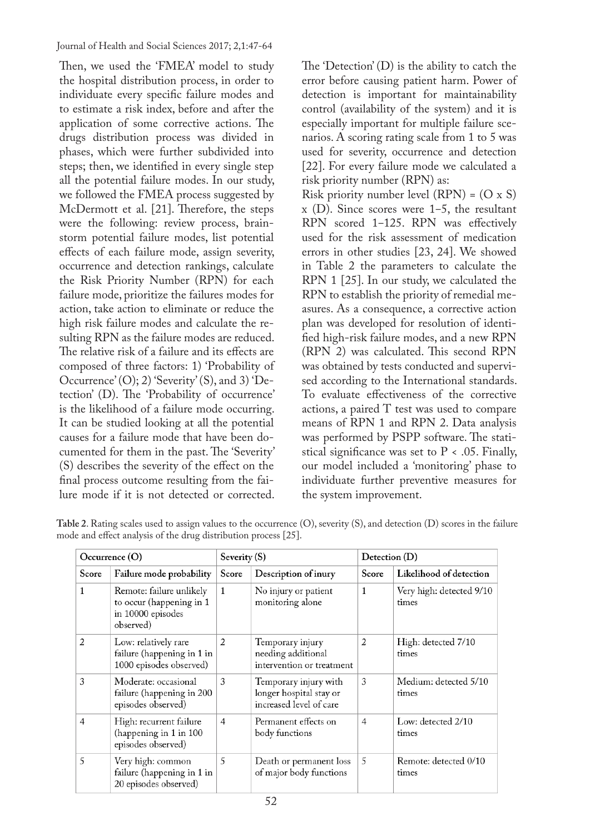Journal of Health and Social Sciences 2017; 2,1:47-64

Then, we used the 'FMEA' model to study the hospital distribution process, in order to individuate every specific failure modes and to estimate a risk index, before and after the application of some corrective actions. The drugs distribution process was divided in phases, which were further subdivided into steps; then, we identified in every single step all the potential failure modes. In our study, we followed the FMEA process suggested by McDermott et al. [21]. Therefore, the steps were the following: review process, brainstorm potential failure modes, list potential effects of each failure mode, assign severity, occurrence and detection rankings, calculate the Risk Priority Number (RPN) for each failure mode, prioritize the failures modes for action, take action to eliminate or reduce the high risk failure modes and calculate the resulting RPN as the failure modes are reduced. The relative risk of a failure and its effects are composed of three factors: 1) 'Probability of Occurrence' (O); 2) 'Severity' (S), and 3) 'Detection' (D). The 'Probability of occurrence' is the likelihood of a failure mode occurring. It can be studied looking at all the potential causes for a failure mode that have been documented for them in the past. The 'Severity' (S) describes the severity of the effect on the final process outcome resulting from the failure mode if it is not detected or corrected.

The 'Detection' (D) is the ability to catch the error before causing patient harm. Power of detection is important for maintainability control (availability of the system) and it is especially important for multiple failure scenarios. A scoring rating scale from 1 to 5 was used for severity, occurrence and detection [22]. For every failure mode we calculated a risk priority number (RPN) as: Risk priority number level  $(RPN) = (O \times S)$  $x$  (D). Since scores were 1–5, the resultant RPN scored 1-125. RPN was effectively used for the risk assessment of medication errors in other studies [23, 24]. We showed in Table 2 the parameters to calculate the RPN 1 [25]. In our study, we calculated the RPN to establish the priority of remedial measures. As a consequence, a corrective action plan was developed for resolution of identified high-risk failure modes, and a new RPN (RPN 2) was calculated. This second RPN was obtained by tests conducted and supervised according to the International standards. To evaluate effectiveness of the corrective actions, a paired T test was used to compare means of RPN 1 and RPN 2. Data analysis was performed by PSPP software. The statistical significance was set to  $P < .05$ . Finally, our model included a 'monitoring' phase to individuate further preventive measures for the system improvement.

| Occurrence (O) |                                                                                        | Severity (S)   |                                                                             | Detection (D)  |                                   |  |  |
|----------------|----------------------------------------------------------------------------------------|----------------|-----------------------------------------------------------------------------|----------------|-----------------------------------|--|--|
| Score          | Failure mode probability                                                               | Score          | Description of inury<br>Score                                               |                | Likelihood of detection           |  |  |
| 1              | Remote: failure unlikely<br>to occur (happening in 1<br>in 10000 episodes<br>observed) | $\mathbf{1}$   | No injury or patient<br>monitoring alone                                    | $\mathbf{1}$   | Very high: detected 9/10<br>times |  |  |
| $\overline{2}$ | Low: relatively rare<br>failure (happening in 1 in<br>1000 episodes observed)          | 2              | Temporary injury<br>needing additional<br>intervention or treatment         | 2              | High: detected 7/10<br>times      |  |  |
| 3              | Moderate: occasional<br>failure (happening in 200<br>episodes observed)                | 3              | Temporary injury with<br>longer hospital stay or<br>increased level of care | 3              | Medium: detected 5/10<br>times    |  |  |
| 4              | High: recurrent failure<br>(happening in 1 in 100<br>episodes observed)                | $\overline{4}$ | Permanent effects on<br>body functions                                      | $\overline{4}$ | Low: detected 2/10<br>times       |  |  |
| 5              | Very high: common<br>failure (happening in 1 in<br>20 episodes observed)               | 5              | Death or permanent loss<br>of major body functions                          | 5              | Remote: detected 0/10<br>times    |  |  |

**Table 2**. Rating scales used to assign values to the occurrence (O), severity (S), and detection (D) scores in the failure mode and effect analysis of the drug distribution process [25].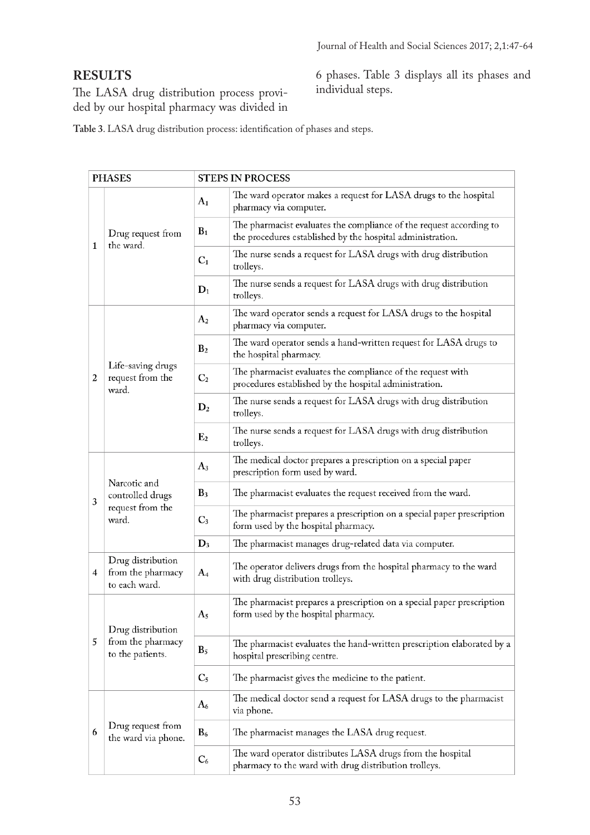# **RESULTS**

The LASA drug distribution process provided by our hospital pharmacy was divided in

6 phases. Table 3 displays all its phases and individual steps.

 **Table 3**. LASA drug distribution process: identification of phases and steps.

| <b>PHASES</b> |                                                               |                | <b>STEPS IN PROCESS</b>                                                                                                           |
|---------------|---------------------------------------------------------------|----------------|-----------------------------------------------------------------------------------------------------------------------------------|
|               | $A_1$                                                         |                | The ward operator makes a request for LASA drugs to the hospital<br>pharmacy via computer.                                        |
|               | Drug request from<br>the ward.                                | $B_1$          | The pharmacist evaluates the compliance of the request according to<br>the procedures established by the hospital administration. |
| 1             |                                                               | $C_1$          | The nurse sends a request for LASA drugs with drug distribution<br>trolleys.                                                      |
|               |                                                               | $D_1$          | The nurse sends a request for LASA drugs with drug distribution<br>trolleys.                                                      |
|               |                                                               | A <sub>2</sub> | The ward operator sends a request for LASA drugs to the hospital<br>pharmacy via computer.                                        |
|               | Life-saving drugs<br>request from the<br>ward.                | B <sub>2</sub> | The ward operator sends a hand-written request for LASA drugs to<br>the hospital pharmacy.                                        |
| 2             |                                                               | C <sub>2</sub> | The pharmacist evaluates the compliance of the request with<br>procedures established by the hospital administration.             |
|               |                                                               | D <sub>2</sub> | The nurse sends a request for LASA drugs with drug distribution<br>trolleys.                                                      |
|               |                                                               | E <sub>2</sub> | The nurse sends a request for LASA drugs with drug distribution<br>trolleys.                                                      |
|               | Narcotic and<br>controlled drugs<br>request from the<br>ward. | $A_3$          | The medical doctor prepares a prescription on a special paper<br>prescription form used by ward.                                  |
| 3             |                                                               | $B_3$          | The pharmacist evaluates the request received from the ward.                                                                      |
|               |                                                               | $C_3$          | The pharmacist prepares a prescription on a special paper prescription<br>form used by the hospital pharmacy.                     |
|               |                                                               | $D_3$          | The pharmacist manages drug-related data via computer.                                                                            |
| 4             | Drug distribution<br>from the pharmacy<br>to each ward.       | $A_4$          | The operator delivers drugs from the hospital pharmacy to the ward<br>with drug distribution trolleys.                            |
|               | Drug distribution                                             | A <sub>5</sub> | The pharmacist prepares a prescription on a special paper prescription<br>form used by the hospital pharmacy.                     |
| 5             | from the pharmacy<br>to the patients.                         | $B_5$          | The pharmacist evaluates the hand-written prescription elaborated by a<br>hospital prescribing centre.                            |
|               |                                                               | $C_5$          | The pharmacist gives the medicine to the patient.                                                                                 |
|               |                                                               | A6             | The medical doctor send a request for LASA drugs to the pharmacist<br>via phone.                                                  |
| 6             | Drug request from<br>the ward via phone.                      | $B_6$          | The pharmacist manages the LASA drug request.                                                                                     |
|               |                                                               | $C_6$          | The ward operator distributes LASA drugs from the hospital<br>pharmacy to the ward with drug distribution trolleys.               |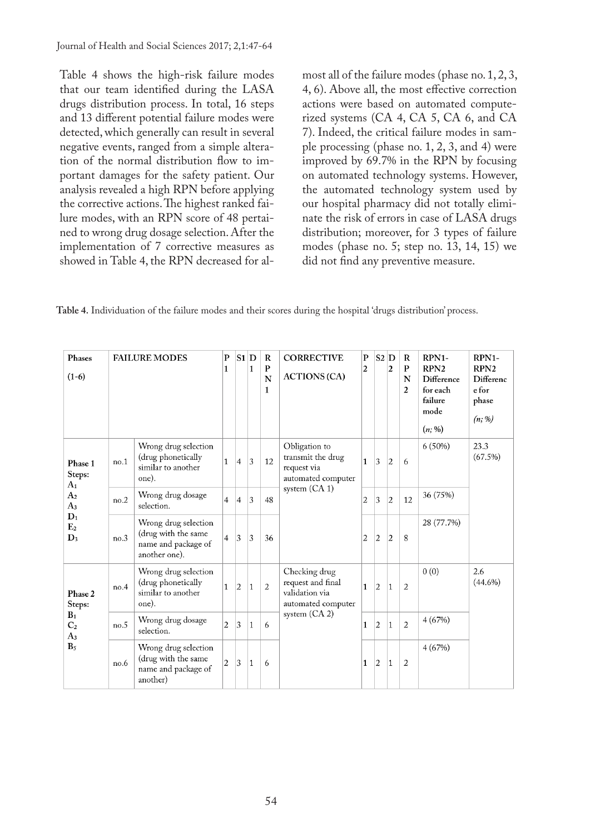Table 4 shows the high-risk failure modes that our team identified during the LASA drugs distribution process. In total, 16 steps and 13 different potential failure modes were detected, which generally can result in several negative events, ranged from a simple alteration of the normal distribution flow to important damages for the safety patient. Our analysis revealed a high RPN before applying the corrective actions. The highest ranked failure modes, with an RPN score of 48 pertained to wrong drug dosage selection. After the implementation of 7 corrective measures as showed in Table 4, the RPN decreased for almost all of the failure modes (phase no. 1, 2, 3, 4, 6). Above all, the most effective correction actions were based on automated computerized systems (CA 4, CA 5, CA 6, and CA 7). Indeed, the critical failure modes in sample processing (phase no. 1, 2, 3, and 4) were improved by 69.7% in the RPN by focusing on automated technology systems. However, the automated technology system used by our hospital pharmacy did not totally eliminate the risk of errors in case of LASA drugs distribution; moreover, for 3 types of failure modes (phase no. 5; step no. 13, 14, 15) we did not find any preventive measure.

**Table 4.** Individuation of the failure modes and their scores during the hospital 'drugs distribution' process.

| Phases<br>$(1-6)$                         |      | <b>FAILURE MODES</b>                                                                | P<br>1         | $S1$ D         | 1            | R<br>$\mathbf{P}$<br>N<br>$\mathbf{1}$ | <b>CORRECTIVE</b><br><b>ACTIONS (CA)</b>                                   | P<br>$\overline{2}$ | $S2$ D         | $\overline{c}$ | R<br>P<br>N<br>$\overline{2}$ | RPN1-<br>RPN <sub>2</sub><br>Difference<br>for each<br>failure<br>mode<br>$(n; \%)$ | RPN1-<br>RPN <sub>2</sub><br>Differenc<br>e for<br>phase<br>(n; %) |
|-------------------------------------------|------|-------------------------------------------------------------------------------------|----------------|----------------|--------------|----------------------------------------|----------------------------------------------------------------------------|---------------------|----------------|----------------|-------------------------------|-------------------------------------------------------------------------------------|--------------------------------------------------------------------|
| Phase 1<br>Steps:<br>A <sub>1</sub>       | no.1 | Wrong drug selection<br>(drug phonetically<br>similar to another<br>one).           | 1              | $\overline{4}$ | 3            | 12                                     | Obligation to<br>transmit the drug<br>request via<br>automated computer    | 1                   | 3              | $\overline{2}$ | 6                             | $6(50\%)$                                                                           | 23.3<br>(67.5%)                                                    |
| A <sub>2</sub><br>$A_3$                   | no.2 | Wrong drug dosage<br>selection.                                                     | 4              | $\overline{4}$ | 3            | 48                                     | system $(CA 1)$                                                            | 2                   | 3              | $\overline{2}$ | 12                            | 36 (75%)                                                                            |                                                                    |
| $D_1$<br>E <sub>2</sub><br>$\mathbf{D}_3$ | no.3 | Wrong drug selection<br>(drug with the same<br>name and package of<br>another one). | 4              | 3              | 3            | 36                                     |                                                                            | 2                   | $\overline{2}$ | $\overline{2}$ | 8                             | 28 (77.7%)                                                                          |                                                                    |
| Phase 2<br>Steps:                         | no.4 | Wrong drug selection<br>(drug phonetically<br>similar to another<br>one).           | 1              | $\overline{2}$ | $\mathbf{1}$ | $\overline{2}$                         | Checking drug<br>request and final<br>validation via<br>automated computer | 1                   | $\overline{2}$ | $\mathbf{1}$   | $\overline{2}$                | 0(0)                                                                                | 2.6<br>$(44.6\%)$                                                  |
| $B_1$<br>C <sub>2</sub><br>$A_3$          | no.5 | Wrong drug dosage<br>selection.                                                     | 2              | 3              | $\mathbf{1}$ | 6                                      | system (CA 2)                                                              | 1                   | $\overline{2}$ | $\mathbf{1}$   | $\overline{2}$                | 4(67%)                                                                              |                                                                    |
| B <sub>5</sub>                            | no.6 | Wrong drug selection<br>(drug with the same<br>name and package of<br>another)      | $\overline{2}$ | 3              | $\mathbf{1}$ | 6                                      |                                                                            | 1                   | $\overline{2}$ | $\mathbf{1}$   | $\overline{2}$                | 4(67%)                                                                              |                                                                    |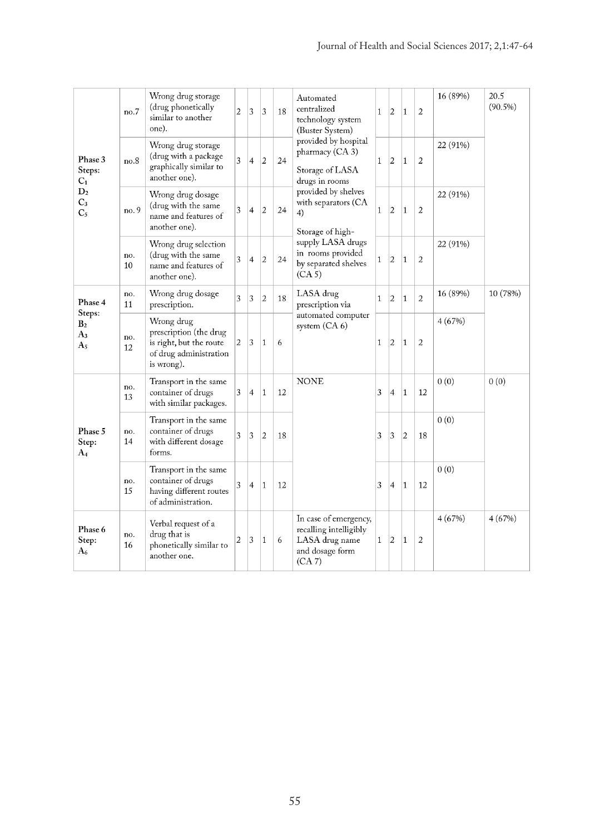|                                         | no.7      | Wrong drug storage<br>(drug phonetically<br>similar to another<br>one).                                 | 2 | 3              | 3                       | 18 | Automated<br>centralized<br>technology system<br>(Buster System)                               | $\mathbf{1}$ | 2              | $\mathbf{1}$   | 2              | 16 (89%) | 20.5<br>$(90.5\%)$ |
|-----------------------------------------|-----------|---------------------------------------------------------------------------------------------------------|---|----------------|-------------------------|----|------------------------------------------------------------------------------------------------|--------------|----------------|----------------|----------------|----------|--------------------|
| Phase 3<br>Steps:<br>$C_1$              | no.8      | Wrong drug storage<br>(drug with a package<br>graphically similar to<br>another one).                   | 3 | $\overline{4}$ | $\overline{c}$          | 24 | provided by hospital<br>pharmacy (CA 3)<br>Storage of LASA<br>drugs in rooms                   | $\mathbf{1}$ | $\overline{2}$ | $\mathbf{1}$   | 2              | 22 (91%) |                    |
| D <sub>2</sub><br>$C_3$<br>$C_5$        | no. 9     | Wrong drug dosage<br>(drug with the same<br>name and features of<br>another one).                       | 3 | $\overline{4}$ | $\overline{2}$          | 24 | provided by shelves<br>with separators (CA<br>4)<br>Storage of high-                           | $\mathbf{1}$ | $\overline{2}$ | $\mathbf{1}$   | 2              | 22 (91%) |                    |
|                                         | no.<br>10 | Wrong drug selection<br>(drug with the same<br>name and features of<br>another one).                    | 3 | 4              | $\overline{2}$          | 24 | supply LASA drugs<br>in rooms provided<br>by separated shelves<br>(CA <sub>5</sub> )           | $\mathbf{1}$ | $\overline{2}$ | $\mathbf{1}$   | 2              | 22 (91%) |                    |
| Phase 4                                 | no.<br>11 | Wrong drug dosage<br>prescription.                                                                      | 3 | 3              | $\overline{\mathbf{c}}$ | 18 | LASA drug<br>prescription via                                                                  | $\mathbf{1}$ | $\overline{2}$ | 1              | 2              | 16 (89%) | 10 (78%)           |
| Steps:<br>B <sub>2</sub><br>$A_3$<br>A5 | no.<br>12 | Wrong drug<br>prescription (the drug<br>is right, but the route<br>of drug administration<br>is wrong). | 2 | 3              | $\mathbf{1}$            | 6  | automated computer<br>system (CA 6)                                                            | $\mathbf{1}$ | $\overline{2}$ | $\mathbf{1}$   | $\overline{2}$ | 4(67%)   |                    |
|                                         | no.<br>13 | Transport in the same<br>container of drugs<br>with similar packages.                                   | 3 | 4              | $\mathbf{1}$            | 12 | <b>NONE</b>                                                                                    | 3            | 4              | $\mathbf{1}$   | 12             | 0(0)     | 0(0)               |
| Phase 5<br>Step:<br>A4                  | no.<br>14 | Transport in the same<br>container of drugs<br>with different dosage<br>forms.                          | 3 | 3              | $\overline{2}$          | 18 |                                                                                                | 3            | 3              | $\overline{2}$ | 18             | 0(0)     |                    |
|                                         | no.<br>15 | Transport in the same<br>container of drugs<br>having different routes<br>of administration.            | 3 | $\overline{4}$ | $\mathbf{1}$            | 12 |                                                                                                | 3            | $\overline{4}$ | $\mathbf{1}$   | 12             | 0(0)     |                    |
| Phase 6<br>Step:<br>A6                  | no.<br>16 | Verbal request of a<br>drug that is<br>phonetically similar to<br>another one.                          | 2 | 3              | $\mathbf{1}$            | 6  | In case of emergency,<br>recalling intelligibly<br>LASA drug name<br>and dosage form<br>(CA 7) | $\mathbf{1}$ | $\vert$ 2      | $\mathbf{1}$   | 2              | 4(67%)   | 4(67%)             |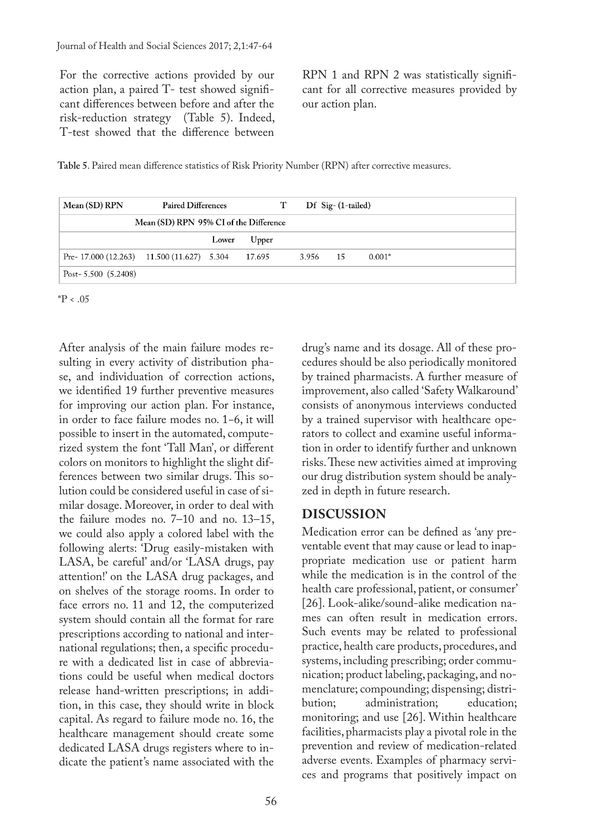For the corrective actions provided by our action plan, a paired T- test showed significant differences between before and after the risk-reduction strategy (Table 5). Indeed, T-test showed that the difference between

RPN 1 and RPN 2 was statistically significant for all corrective measures provided by our action plan.

**Table 5**. Paired mean difference statistics of Risk Priority Number (RPN) after corrective measures.

| Mean (SD) RPN                                  | <b>Paired Differences</b>              |             | T |          | $\rm Df$ Sig- $(1$ -tailed) |          |
|------------------------------------------------|----------------------------------------|-------------|---|----------|-----------------------------|----------|
|                                                | Mean (SD) RPN 95% CI of the Difference |             |   |          |                             |          |
|                                                |                                        | Lower Upper |   |          |                             |          |
| Pre- 17.000 $(12.263)$ 11.500 $(11.627)$ 5.304 |                                        | 17.695      |   | 3.956 15 |                             | $0.001*$ |
| Post- $5.500(5.2408)$                          |                                        |             |   |          |                             |          |

 $*P < .05$ 

After analysis of the main failure modes resulting in every activity of distribution phase, and individuation of correction actions, we identified 19 further preventive measures for improving our action plan. For instance, in order to face failure modes no. 1−6, it will possible to insert in the automated, computerized system the font 'Tall Man', or different colors on monitors to highlight the slight differences between two similar drugs. This solution could be considered useful in case of similar dosage. Moreover, in order to deal with the failure modes no. 7–10 and no. 13–15, we could also apply a colored label with the following alerts: 'Drug easily-mistaken with LASA, be careful' and/or 'LASA drugs, pay attention!' on the LASA drug packages, and on shelves of the storage rooms. In order to face errors no. 11 and 12, the computerized system should contain all the format for rare prescriptions according to national and international regulations; then, a specific procedure with a dedicated list in case of abbreviations could be useful when medical doctors release hand-written prescriptions; in addition, in this case, they should write in block capital. As regard to failure mode no. 16, the healthcare management should create some dedicated LASA drugs registers where to indicate the patient's name associated with the

drug's name and its dosage. All of these procedures should be also periodically monitored by trained pharmacists. A further measure of improvement, also called 'Safety Walkaround' consists of anonymous interviews conducted by a trained supervisor with healthcare operators to collect and examine useful information in order to identify further and unknown risks. These new activities aimed at improving our drug distribution system should be analyzed in depth in future research.

# **DISCUSSION**

Medication error can be defined as 'any preventable event that may cause or lead to inappropriate medication use or patient harm while the medication is in the control of the health care professional, patient, or consumer' [26]. Look-alike/sound-alike medication names can often result in medication errors. Such events may be related to professional practice, health care products, procedures, and systems, including prescribing; order communication; product labeling, packaging, and nomenclature; compounding; dispensing; distri-<br>bution: administration: education: administration; monitoring; and use [26]. Within healthcare facilities, pharmacists play a pivotal role in the prevention and review of medication-related adverse events. Examples of pharmacy services and programs that positively impact on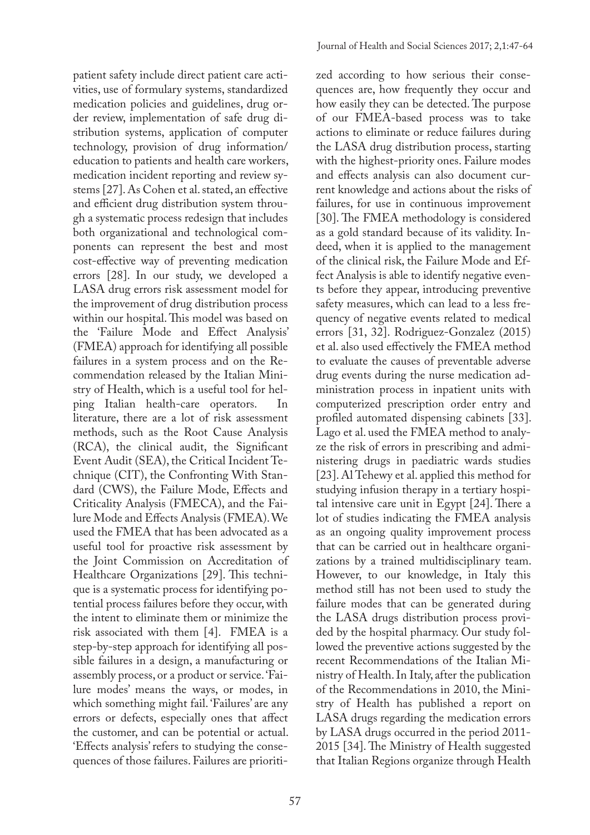patient safety include direct patient care activities, use of formulary systems, standardized medication policies and guidelines, drug order review, implementation of safe drug distribution systems, application of computer technology, provision of drug information/ education to patients and health care workers, medication incident reporting and review systems [27]. As Cohen et al. stated, an effective and efficient drug distribution system through a systematic process redesign that includes both organizational and technological components can represent the best and most cost-effective way of preventing medication errors [28]. In our study, we developed a LASA drug errors risk assessment model for the improvement of drug distribution process within our hospital. This model was based on the 'Failure Mode and Effect Analysis' (FMEA) approach for identifying all possible failures in a system process and on the Recommendation released by the Italian Ministry of Health, which is a useful tool for helping Italian health-care operators. In literature, there are a lot of risk assessment methods, such as the Root Cause Analysis (RCA), the clinical audit, the Significant Event Audit (SEA), the Critical Incident Technique (CIT), the Confronting With Standard (CWS), the Failure Mode, Effects and Criticality Analysis (FMECA), and the Failure Mode and Effects Analysis (FMEA). We used the FMEA that has been advocated as a useful tool for proactive risk assessment by the Joint Commission on Accreditation of Healthcare Organizations [29]. This technique is a systematic process for identifying potential process failures before they occur, with the intent to eliminate them or minimize the risk associated with them [4]. FMEA is a step-by-step approach for identifying all possible failures in a design, a manufacturing or assembly process, or a product or service. 'Failure modes' means the ways, or modes, in which something might fail. 'Failures' are any errors or defects, especially ones that affect the customer, and can be potential or actual. 'Effects analysis' refers to studying the consequences of those failures. Failures are prioriti-

zed according to how serious their consequences are, how frequently they occur and how easily they can be detected. The purpose of our FMEA-based process was to take actions to eliminate or reduce failures during the LASA drug distribution process, starting with the highest-priority ones. Failure modes and effects analysis can also document current knowledge and actions about the risks of failures, for use in continuous improvement [30]. The FMEA methodology is considered as a gold standard because of its validity. Indeed, when it is applied to the management of the clinical risk, the Failure Mode and Effect Analysis is able to identify negative events before they appear, introducing preventive safety measures, which can lead to a less frequency of negative events related to medical errors [31, 32]. Rodriguez-Gonzalez (2015) et al. also used effectively the FMEA method to evaluate the causes of preventable adverse drug events during the nurse medication administration process in inpatient units with computerized prescription order entry and profiled automated dispensing cabinets [33]. Lago et al. used the FMEA method to analyze the risk of errors in prescribing and administering drugs in paediatric wards studies [23]. Al Tehewy et al. applied this method for studying infusion therapy in a tertiary hospital intensive care unit in Egypt [24]. There a lot of studies indicating the FMEA analysis as an ongoing quality improvement process that can be carried out in healthcare organizations by a trained multidisciplinary team. However, to our knowledge, in Italy this method still has not been used to study the failure modes that can be generated during the LASA drugs distribution process provided by the hospital pharmacy. Our study followed the preventive actions suggested by the recent Recommendations of the Italian Ministry of Health. In Italy, after the publication of the Recommendations in 2010, the Ministry of Health has published a report on LASA drugs regarding the medication errors by LASA drugs occurred in the period 2011- 2015 [34]. The Ministry of Health suggested that Italian Regions organize through Health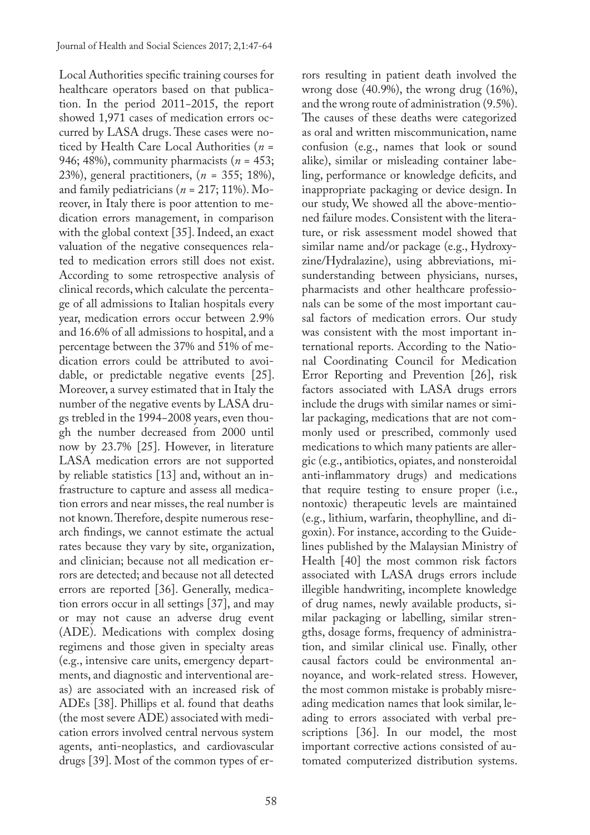Local Authorities specific training courses for healthcare operators based on that publication. In the period 2011−2015, the report showed 1,971 cases of medication errors occurred by LASA drugs. These cases were noticed by Health Care Local Authorities (*n* = 946; 48%), community pharmacists (*n* = 453; 23%), general practitioners, (*n* = 355; 18%), and family pediatricians (*n* = 217; 11%). Moreover, in Italy there is poor attention to medication errors management, in comparison with the global context [35]. Indeed, an exact valuation of the negative consequences related to medication errors still does not exist. According to some retrospective analysis of clinical records, which calculate the percentage of all admissions to Italian hospitals every year, medication errors occur between 2.9% and 16.6% of all admissions to hospital, and a percentage between the 37% and 51% of medication errors could be attributed to avoidable, or predictable negative events [25]. Moreover, a survey estimated that in Italy the number of the negative events by LASA drugs trebled in the 1994−2008 years, even though the number decreased from 2000 until now by 23.7% [25]. However, in literature LASA medication errors are not supported by reliable statistics [13] and, without an infrastructure to capture and assess all medication errors and near misses, the real number is not known. Therefore, despite numerous research findings, we cannot estimate the actual rates because they vary by site, organization, and clinician; because not all medication errors are detected; and because not all detected errors are reported [36]. Generally, medication errors occur in all settings [37], and may or may not cause an adverse drug event (ADE). Medications with complex dosing regimens and those given in specialty areas (e.g., intensive care units, emergency departments, and diagnostic and interventional areas) are associated with an increased risk of ADEs [38]. Phillips et al. found that deaths (the most severe ADE) associated with medication errors involved central nervous system agents, anti-neoplastics, and cardiovascular drugs [39]. Most of the common types of errors resulting in patient death involved the wrong dose (40.9%), the wrong drug (16%), and the wrong route of administration (9.5%). The causes of these deaths were categorized as oral and written miscommunication, name confusion (e.g., names that look or sound alike), similar or misleading container labeling, performance or knowledge deficits, and inappropriate packaging or device design. In our study, We showed all the above-mentioned failure modes. Consistent with the literature, or risk assessment model showed that similar name and/or package (e.g., Hydroxyzine/Hydralazine), using abbreviations, misunderstanding between physicians, nurses, pharmacists and other healthcare professionals can be some of the most important causal factors of medication errors. Our study was consistent with the most important international reports. According to the National Coordinating Council for Medication Error Reporting and Prevention [26], risk factors associated with LASA drugs errors include the drugs with similar names or similar packaging, medications that are not commonly used or prescribed, commonly used medications to which many patients are allergic (e.g., antibiotics, opiates, and nonsteroidal anti-inflammatory drugs) and medications that require testing to ensure proper (i.e., nontoxic) therapeutic levels are maintained (e.g., lithium, warfarin, theophylline, and digoxin). For instance, according to the Guidelines published by the Malaysian Ministry of Health [40] the most common risk factors associated with LASA drugs errors include illegible handwriting, incomplete knowledge of drug names, newly available products, similar packaging or labelling, similar strengths, dosage forms, frequency of administration, and similar clinical use. Finally, other causal factors could be environmental annoyance, and work-related stress. However, the most common mistake is probably misreading medication names that look similar, leading to errors associated with verbal prescriptions [36]. In our model, the most important corrective actions consisted of automated computerized distribution systems.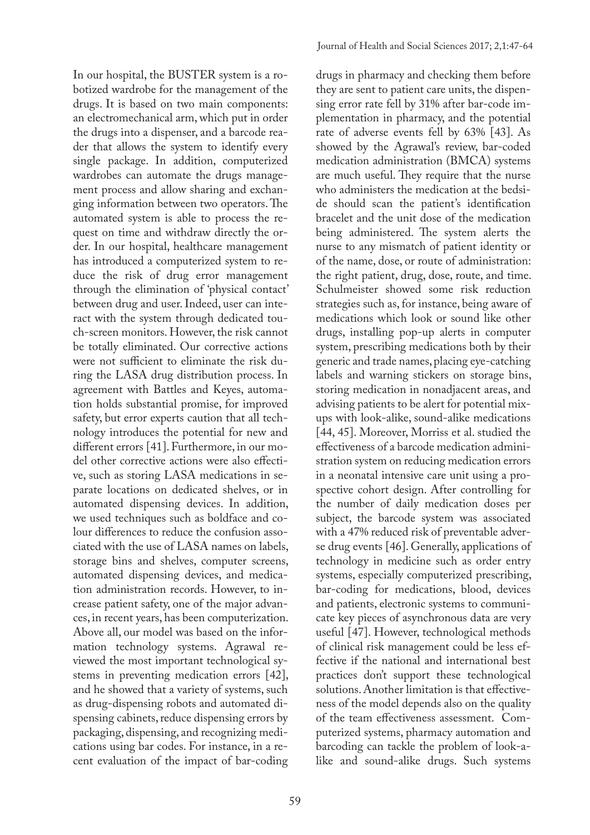In our hospital, the BUSTER system is a robotized wardrobe for the management of the drugs. It is based on two main components: an electromechanical arm, which put in order the drugs into a dispenser, and a barcode reader that allows the system to identify every single package. In addition, computerized wardrobes can automate the drugs management process and allow sharing and exchanging information between two operators. The automated system is able to process the request on time and withdraw directly the order. In our hospital, healthcare management has introduced a computerized system to reduce the risk of drug error management through the elimination of 'physical contact' between drug and user. Indeed, user can interact with the system through dedicated touch-screen monitors. However, the risk cannot be totally eliminated. Our corrective actions were not sufficient to eliminate the risk during the LASA drug distribution process. In agreement with Battles and Keyes, automation holds substantial promise, for improved safety, but error experts caution that all technology introduces the potential for new and different errors [41]. Furthermore, in our model other corrective actions were also effective, such as storing LASA medications in separate locations on dedicated shelves, or in automated dispensing devices. In addition, we used techniques such as boldface and colour differences to reduce the confusion associated with the use of LASA names on labels, storage bins and shelves, computer screens, automated dispensing devices, and medication administration records. However, to increase patient safety, one of the major advances, in recent years, has been computerization. Above all, our model was based on the information technology systems. Agrawal reviewed the most important technological systems in preventing medication errors [42], and he showed that a variety of systems, such as drug-dispensing robots and automated dispensing cabinets, reduce dispensing errors by packaging, dispensing, and recognizing medications using bar codes. For instance, in a recent evaluation of the impact of bar-coding

drugs in pharmacy and checking them before they are sent to patient care units, the dispensing error rate fell by 31% after bar-code implementation in pharmacy, and the potential rate of adverse events fell by 63% [43]. As showed by the Agrawal's review, bar-coded medication administration (BMCA) systems are much useful. They require that the nurse who administers the medication at the bedside should scan the patient's identification bracelet and the unit dose of the medication being administered. The system alerts the nurse to any mismatch of patient identity or of the name, dose, or route of administration: the right patient, drug, dose, route, and time. Schulmeister showed some risk reduction strategies such as, for instance, being aware of medications which look or sound like other drugs, installing pop-up alerts in computer system, prescribing medications both by their generic and trade names, placing eye-catching labels and warning stickers on storage bins, storing medication in nonadjacent areas, and advising patients to be alert for potential mixups with look-alike, sound-alike medications [44, 45]. Moreover, Morriss et al. studied the effectiveness of a barcode medication administration system on reducing medication errors in a neonatal intensive care unit using a prospective cohort design. After controlling for the number of daily medication doses per subject, the barcode system was associated with a 47% reduced risk of preventable adverse drug events [46]. Generally, applications of technology in medicine such as order entry systems, especially computerized prescribing, bar-coding for medications, blood, devices and patients, electronic systems to communicate key pieces of asynchronous data are very useful [47]. However, technological methods of clinical risk management could be less effective if the national and international best practices don't support these technological solutions. Another limitation is that effectiveness of the model depends also on the quality of the team effectiveness assessment. Computerized systems, pharmacy automation and barcoding can tackle the problem of look-alike and sound-alike drugs. Such systems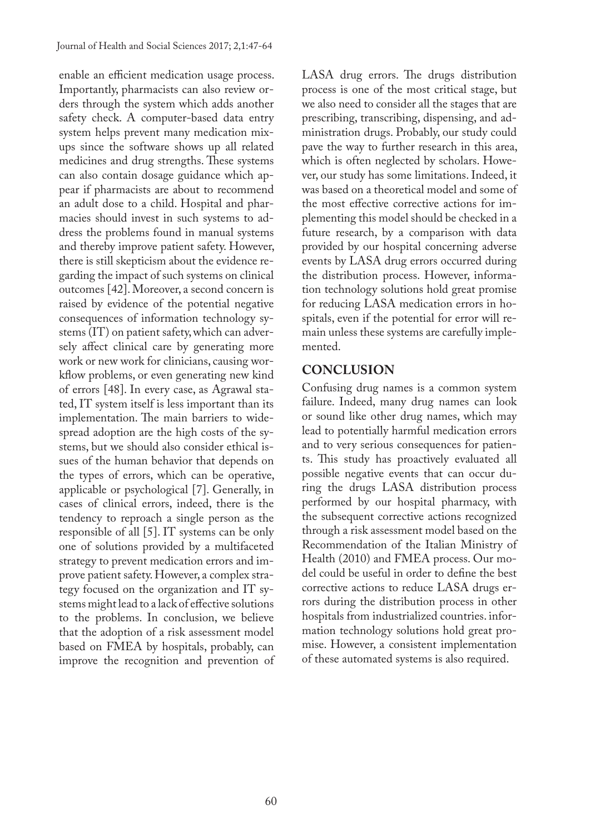enable an efficient medication usage process. Importantly, pharmacists can also review orders through the system which adds another safety check. A computer-based data entry system helps prevent many medication mixups since the software shows up all related medicines and drug strengths. These systems can also contain dosage guidance which appear if pharmacists are about to recommend an adult dose to a child. Hospital and pharmacies should invest in such systems to address the problems found in manual systems and thereby improve patient safety. However, there is still skepticism about the evidence regarding the impact of such systems on clinical outcomes [42]. Moreover, a second concern is raised by evidence of the potential negative consequences of information technology systems (IT) on patient safety, which can adversely affect clinical care by generating more work or new work for clinicians, causing workflow problems, or even generating new kind of errors [48]. In every case, as Agrawal stated, IT system itself is less important than its implementation. The main barriers to widespread adoption are the high costs of the systems, but we should also consider ethical issues of the human behavior that depends on the types of errors, which can be operative, applicable or psychological [7]. Generally, in cases of clinical errors, indeed, there is the tendency to reproach a single person as the responsible of all [5]. IT systems can be only one of solutions provided by a multifaceted strategy to prevent medication errors and improve patient safety. However, a complex strategy focused on the organization and IT systems might lead to a lack of effective solutions to the problems. In conclusion, we believe that the adoption of a risk assessment model based on FMEA by hospitals, probably, can improve the recognition and prevention of LASA drug errors. The drugs distribution process is one of the most critical stage, but we also need to consider all the stages that are prescribing, transcribing, dispensing, and administration drugs. Probably, our study could pave the way to further research in this area, which is often neglected by scholars. However, our study has some limitations. Indeed, it was based on a theoretical model and some of the most effective corrective actions for implementing this model should be checked in a future research, by a comparison with data provided by our hospital concerning adverse events by LASA drug errors occurred during the distribution process. However, information technology solutions hold great promise for reducing LASA medication errors in hospitals, even if the potential for error will remain unless these systems are carefully implemented.

## **CONCLUSION**

Confusing drug names is a common system failure. Indeed, many drug names can look or sound like other drug names, which may lead to potentially harmful medication errors and to very serious consequences for patients. This study has proactively evaluated all possible negative events that can occur during the drugs LASA distribution process performed by our hospital pharmacy, with the subsequent corrective actions recognized through a risk assessment model based on the Recommendation of the Italian Ministry of Health (2010) and FMEA process. Our model could be useful in order to define the best corrective actions to reduce LASA drugs errors during the distribution process in other hospitals from industrialized countries. information technology solutions hold great promise. However, a consistent implementation of these automated systems is also required.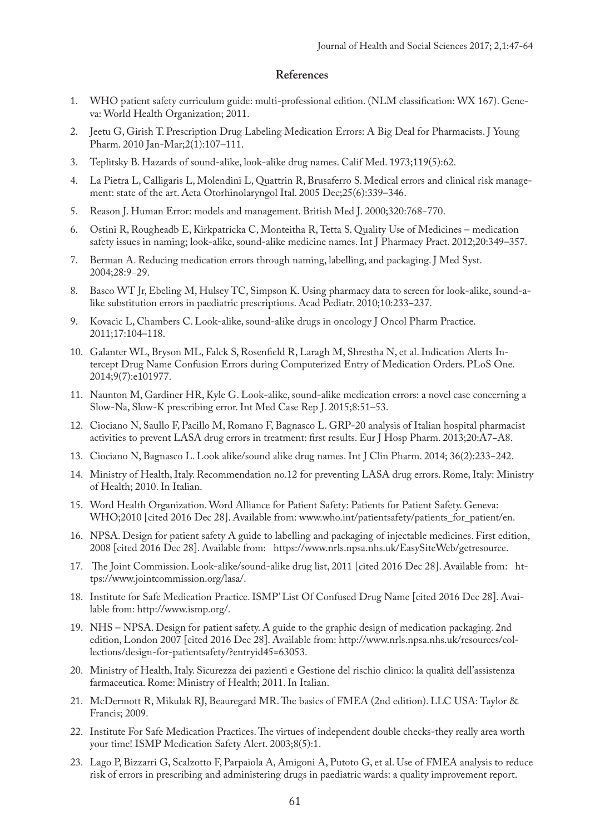#### **References**

- 1. WHO patient safety curriculum guide: multi-professional edition. (NLM classification: WX 167). Geneva: World Health Organization; 2011.
- 2. Jeetu G, Girish T. Prescription Drug Labeling Medication Errors: A Big Deal for Pharmacists. J Young Pharm. 2010 Jan-Mar;2(1):107–111.
- 3. Teplitsky B. Hazards of sound-alike, look-alike drug names. Calif Med. 1973;119(5):62.
- 4. La Pietra L, Calligaris L, Molendini L, Quattrin R, Brusaferro S. Medical errors and clinical risk management: state of the art. Acta Otorhinolaryngol Ital. 2005 Dec;25(6):339–346.
- 5. Reason J. Human Error: models and management. British Med J. 2000;320:768−770.
- 6. Ostini R, Rougheadb E, Kirkpatricka C, Monteitha R, Tetta S. Quality Use of Medicines medication safety issues in naming; look-alike, sound-alike medicine names. Int J Pharmacy Pract. 2012;20:349–357.
- 7. Berman A. Reducing medication errors through naming, labelling, and packaging. J Med Syst. 2004;28:9−29.
- 8. Basco WT Jr, Ebeling M, Hulsey TC, Simpson K. Using pharmacy data to screen for look-alike, sound-alike substitution errors in paediatric prescriptions. Acad Pediatr. 2010;10:233−237.
- 9. Kovacic L, Chambers C. Look-alike, sound-alike drugs in oncology J Oncol Pharm Practice. 2011;17:104–118.
- 10. Galanter WL, Bryson ML, Falck S, Rosenfield R, Laragh M, Shrestha N, et al. Indication Alerts Intercept Drug Name Confusion Errors during Computerized Entry of Medication Orders. PLoS One. 2014;9(7):e101977.
- 11. Naunton M, Gardiner HR, Kyle G. Look-alike, sound-alike medication errors: a novel case concerning a Slow-Na, Slow-K prescribing error. Int Med Case Rep J. 2015;8:51–53.
- 12. Ciociano N, Saullo F, Pacillo M, Romano F, Bagnasco L. GRP-20 analysis of Italian hospital pharmacist activities to prevent LASA drug errors in treatment: first results. Eur J Hosp Pharm. 2013;20:A7−A8.
- 13. Ciociano N, Bagnasco L. Look alike/sound alike drug names. Int J Clin Pharm. 2014; 36(2):233−242.
- 14. Ministry of Health, Italy. Recommendation no.12 for preventing LASA drug errors. Rome, Italy: Ministry of Health; 2010. In Italian.
- 15. Word Health Organization. Word Alliance for Patient Safety: Patients for Patient Safety. Geneva: WHO;2010 [cited 2016 Dec 28]. Available from: www.who.int/patientsafety/patients\_for\_patient/en.
- 16. NPSA. Design for patient safety A guide to labelling and packaging of injectable medicines. First edition, 2008 [cited 2016 Dec 28]. Available from: https://www.nrls.npsa.nhs.uk/EasySiteWeb/getresource.
- 17. The Joint Commission. Look-alike/sound-alike drug list, 2011 [cited 2016 Dec 28]. Available from: https://www.jointcommission.org/lasa/.
- 18. Institute for Safe Medication Practice. ISMP' List Of Confused Drug Name [cited 2016 Dec 28]. Available from: http://www.ismp.org/.
- 19. NHS NPSA. Design for patient safety. A guide to the graphic design of medication packaging. 2nd edition, London 2007 [cited 2016 Dec 28]. Available from: http://www.nrls.npsa.nhs.uk/resources/collections/design-for-patientsafety/?entryid45=63053.
- 20. Ministry of Health, Italy. Sicurezza dei pazienti e Gestione del rischio clinico: la qualità dell'assistenza farmaceutica. Rome: Ministry of Health; 2011. In Italian.
- 21. McDermott R, Mikulak RJ, Beauregard MR. The basics of FMEA (2nd edition). LLC USA: Taylor & Francis; 2009.
- 22. Institute For Safe Medication Practices. The virtues of independent double checks-they really area worth your time! ISMP Medication Safety Alert. 2003;8(5):1.
- 23. Lago P, Bizzarri G, Scalzotto F, Parpaiola A, Amigoni A, Putoto G, et al. Use of FMEA analysis to reduce risk of errors in prescribing and administering drugs in paediatric wards: a quality improvement report.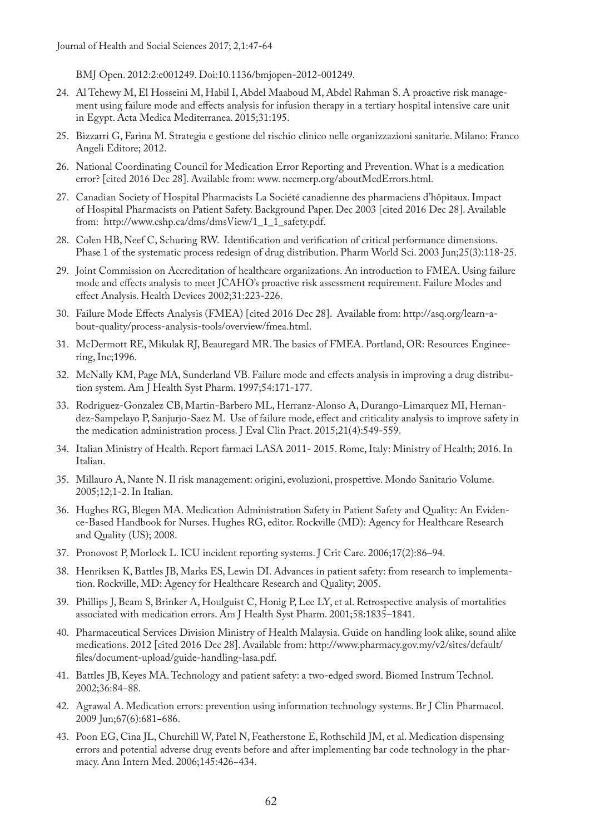BMJ Open. 2012:2:e001249. Doi:10.1136/bmjopen-2012-001249.

- 24. Al Tehewy M, El Hosseini M, Habil I, Abdel Maaboud M, Abdel Rahman S. A proactive risk management using failure mode and effects analysis for infusion therapy in a tertiary hospital intensive care unit in Egypt. Acta Medica Mediterranea. 2015;31:195.
- 25. Bizzarri G, Farina M. Strategia e gestione del rischio clinico nelle organizzazioni sanitarie. Milano: Franco Angeli Editore; 2012.
- 26. National Coordinating Council for Medication Error Reporting and Prevention. What is a medication error? [cited 2016 Dec 28]. Available from: www. nccmerp.org/aboutMedErrors.html.
- 27. Canadian Society of Hospital Pharmacists La Société canadienne des pharmaciens d'hôpitaux. Impact of Hospital Pharmacists on Patient Safety. Background Paper. Dec 2003 [cited 2016 Dec 28]. Available from: http://www.cshp.ca/dms/dmsView/1\_1\_1\_safety.pdf.
- 28. Colen HB, Neef C, Schuring RW. Identification and verification of critical performance dimensions. Phase 1 of the systematic process redesign of drug distribution. Pharm World Sci. 2003 Jun;25(3):118-25.
- 29. Joint Commission on Accreditation of healthcare organizations. An introduction to FMEA. Using failure mode and effects analysis to meet JCAHO's proactive risk assessment requirement. Failure Modes and effect Analysis. Health Devices 2002;31:223-226.
- 30. Failure Mode Effects Analysis (FMEA) [cited 2016 Dec 28]. Available from: http://asq.org/learn-about-quality/process-analysis-tools/overview/fmea.html.
- 31. McDermott RE, Mikulak RJ, Beauregard MR. The basics of FMEA. Portland, OR: Resources Engineering, Inc;1996.
- 32. McNally KM, Page MA, Sunderland VB. Failure mode and effects analysis in improving a drug distribution system. Am J Health Syst Pharm. 1997;54:171-177.
- 33. Rodriguez-Gonzalez CB, Martin-Barbero ML, Herranz-Alonso A, Durango-Limarquez MI, Hernandez-Sampelayo P, Sanjurjo-Saez M. Use of failure mode, effect and criticality analysis to improve safety in the medication administration process. J Eval Clin Pract. 2015;21(4):549-559.
- 34. Italian Ministry of Health. Report farmaci LASA 2011- 2015. Rome, Italy: Ministry of Health; 2016. In Italian.
- 35. Millauro A, Nante N. Il risk management: origini, evoluzioni, prospettive. Mondo Sanitario Volume. 2005;12;1-2. In Italian.
- 36. Hughes RG, Blegen MA. Medication Administration Safety in Patient Safety and Quality: An Evidence-Based Handbook for Nurses. Hughes RG, editor. Rockville (MD): Agency for Healthcare Research and Quality (US); 2008.
- 37. Pronovost P, Morlock L. ICU incident reporting systems. J Crit Care. 2006;17(2):86–94.
- 38. Henriksen K, Battles JB, Marks ES, Lewin DI. Advances in patient safety: from research to implementation. Rockville, MD: Agency for Healthcare Research and Quality; 2005.
- 39. Phillips J, Beam S, Brinker A, Houlguist C, Honig P, Lee LY, et al. Retrospective analysis of mortalities associated with medication errors. Am J Health Syst Pharm. 2001;58:1835–1841.
- 40. Pharmaceutical Services Division Ministry of Health Malaysia. Guide on handling look alike, sound alike medications. 2012 [cited 2016 Dec 28]. Available from: http://www.pharmacy.gov.my/v2/sites/default/ files/document-upload/guide-handling-lasa.pdf.
- 41. Battles JB, Keyes MA. Technology and patient safety: a two-edged sword. Biomed Instrum Technol. 2002;36:84−88.
- 42. Agrawal A. Medication errors: prevention using information technology systems. Br J Clin Pharmacol. 2009 Jun;67(6):681−686.
- 43. Poon EG, Cina JL, Churchill W, Patel N, Featherstone E, Rothschild JM, et al. Medication dispensing errors and potential adverse drug events before and after implementing bar code technology in the pharmacy. Ann Intern Med. 2006;145:426−434.